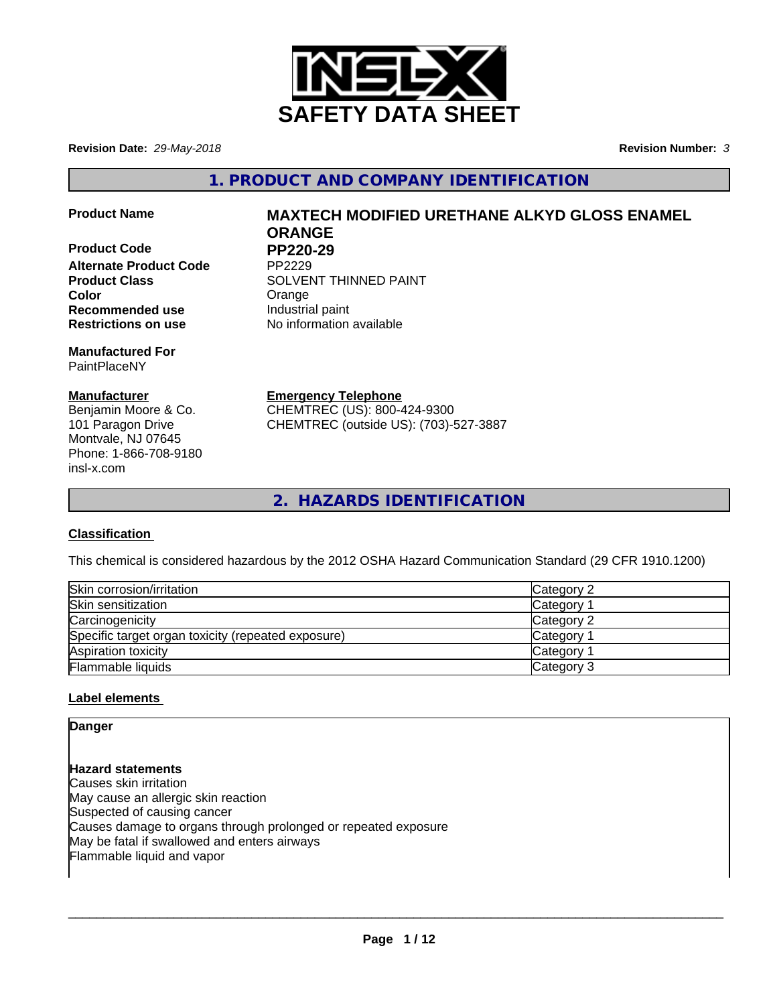

**Revision Date:** *29-May-2018* **Revision Number:** *3*

**1. PRODUCT AND COMPANY IDENTIFICATION**

**Product Code PP220-29**<br>Alternate Product Code PP2229 **Alternate Product Code Recommended use Industrial paint Restrictions on use** No information available

**Manufactured For** PaintPlaceNY

## **Manufacturer**

Benjamin Moore & Co. 101 Paragon Drive Montvale, NJ 07645 Phone: 1-866-708-9180 insl-x.com

# **Product Name MAXTECH MODIFIED URETHANE ALKYD GLOSS ENAMEL ORANGE**

**Product Class SOLVENT THINNED PAINT Color** Color Crange Color

**Emergency Telephone**

CHEMTREC (US): 800-424-9300 CHEMTREC (outside US): (703)-527-3887

**2. HAZARDS IDENTIFICATION**

## **Classification**

This chemical is considered hazardous by the 2012 OSHA Hazard Communication Standard (29 CFR 1910.1200)

| Skin corrosion/irritation                          | Category 2            |
|----------------------------------------------------|-----------------------|
| Skin sensitization                                 | Category              |
| Carcinogenicity                                    | Category 2            |
| Specific target organ toxicity (repeated exposure) | Category <sup>2</sup> |
| Aspiration toxicity                                | <b>Category</b>       |
| <b>Flammable liquids</b>                           | Category 3            |

## **Label elements**

## **Danger**

**Hazard statements** Causes skin irritation May cause an allergic skin reaction Suspected of causing cancer Causes damage to organs through prolonged or repeated exposure May be fatal if swallowed and enters airways Flammable liquid and vapor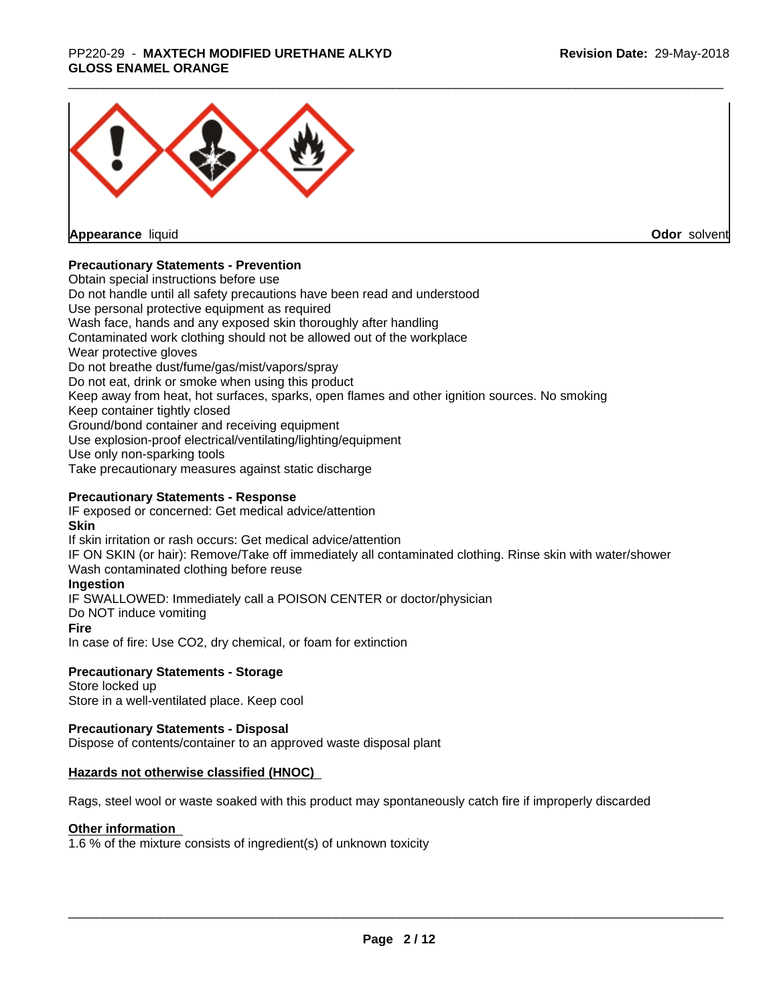#### \_\_\_\_\_\_\_\_\_\_\_\_\_\_\_\_\_\_\_\_\_\_\_\_\_\_\_\_\_\_\_\_\_\_\_\_\_\_\_\_\_\_\_\_\_\_\_\_\_\_\_\_\_\_\_\_\_\_\_\_\_\_\_\_\_\_\_\_\_\_\_\_\_\_\_\_\_\_\_\_\_\_\_\_\_\_\_\_\_\_\_\_\_ PP220-29 - **MAXTECH MODIFIED URETHANE ALKYD GLOSS ENAMEL ORANGE**



**Appearance** liquid

**Odor** solvent

## **Precautionary Statements - Prevention**

Obtain special instructions before use Do not handle until all safety precautions have been read and understood Use personal protective equipment as required Wash face, hands and any exposed skin thoroughly after handling Contaminated work clothing should not be allowed out of the workplace Wear protective gloves Do not breathe dust/fume/gas/mist/vapors/spray Do not eat, drink or smoke when using this product Keep away from heat, hot surfaces, sparks, open flames and other ignition sources. No smoking Keep container tightly closed Ground/bond container and receiving equipment Use explosion-proof electrical/ventilating/lighting/equipment Use only non-sparking tools Take precautionary measures against static discharge

## **Precautionary Statements - Response**

IF exposed or concerned: Get medical advice/attention **Skin** If skin irritation or rash occurs: Get medical advice/attention

IF ON SKIN (or hair): Remove/Take off immediately all contaminated clothing. Rinse skin with water/shower Wash contaminated clothing before reuse

## **Ingestion**

IF SWALLOWED: Immediately call a POISON CENTER or doctor/physician

Do NOT induce vomiting

#### **Fire**

In case of fire: Use CO2, dry chemical, or foam for extinction

## **Precautionary Statements - Storage**

Store locked up Store in a well-ventilated place. Keep cool

## **Precautionary Statements - Disposal**

Dispose of contents/container to an approved waste disposal plant

## **Hazards not otherwise classified (HNOC)**

Rags, steel wool or waste soaked with this product may spontaneously catch fire if improperly discarded

#### **Other information**

1.6 % of the mixture consists of ingredient(s) of unknown toxicity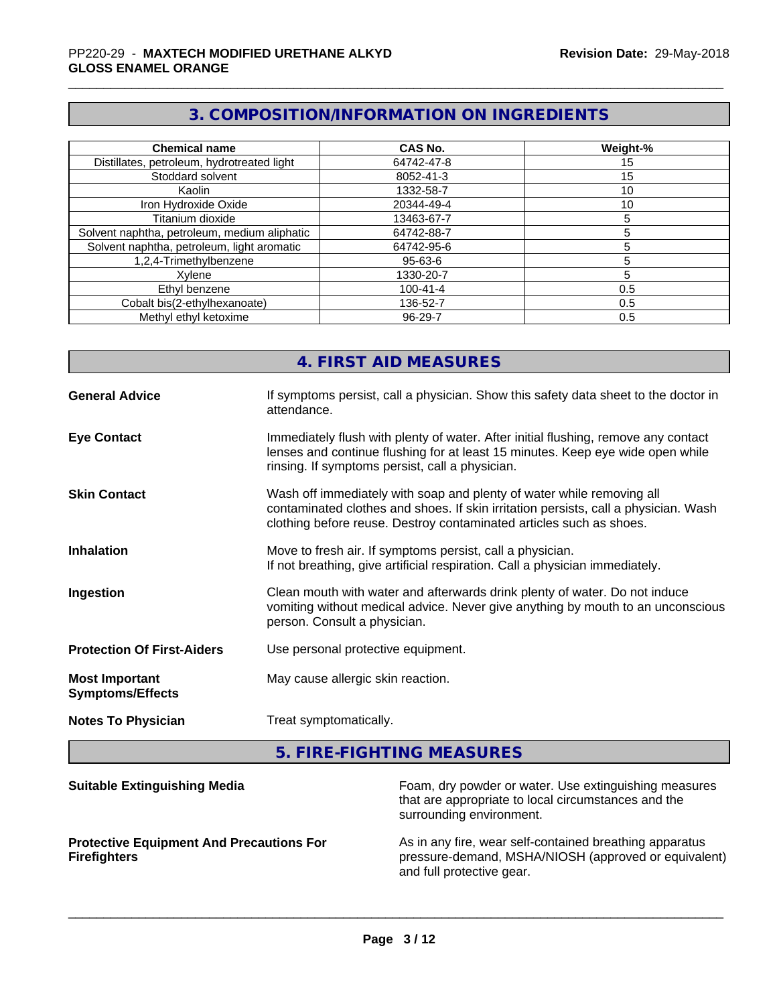## **3. COMPOSITION/INFORMATION ON INGREDIENTS**

| <b>Chemical name</b>                         | <b>CAS No.</b> | Weight-% |
|----------------------------------------------|----------------|----------|
| Distillates, petroleum, hydrotreated light   | 64742-47-8     | 15       |
| Stoddard solvent                             | 8052-41-3      | 15       |
| Kaolin                                       | 1332-58-7      | 10       |
| Iron Hydroxide Oxide                         | 20344-49-4     | 10       |
| Titanium dioxide                             | 13463-67-7     |          |
| Solvent naphtha, petroleum, medium aliphatic | 64742-88-7     |          |
| Solvent naphtha, petroleum, light aromatic   | 64742-95-6     |          |
| 1,2,4-Trimethylbenzene                       | 95-63-6        |          |
| Xvlene                                       | 1330-20-7      |          |
| Ethyl benzene                                | 100-41-4       | 0.5      |
| Cobalt bis(2-ethylhexanoate)                 | 136-52-7       | 0.5      |
| Methyl ethyl ketoxime                        | $96 - 29 - 7$  | 0.5      |

|                                                  | 4. FIRST AID MEASURES                                                                                                                                                                                                               |
|--------------------------------------------------|-------------------------------------------------------------------------------------------------------------------------------------------------------------------------------------------------------------------------------------|
| <b>General Advice</b>                            | If symptoms persist, call a physician. Show this safety data sheet to the doctor in<br>attendance.                                                                                                                                  |
| <b>Eye Contact</b>                               | Immediately flush with plenty of water. After initial flushing, remove any contact<br>lenses and continue flushing for at least 15 minutes. Keep eye wide open while<br>rinsing. If symptoms persist, call a physician.             |
| <b>Skin Contact</b>                              | Wash off immediately with soap and plenty of water while removing all<br>contaminated clothes and shoes. If skin irritation persists, call a physician. Wash<br>clothing before reuse. Destroy contaminated articles such as shoes. |
| <b>Inhalation</b>                                | Move to fresh air. If symptoms persist, call a physician.<br>If not breathing, give artificial respiration. Call a physician immediately.                                                                                           |
| Ingestion                                        | Clean mouth with water and afterwards drink plenty of water. Do not induce<br>vomiting without medical advice. Never give anything by mouth to an unconscious<br>person. Consult a physician.                                       |
| <b>Protection Of First-Aiders</b>                | Use personal protective equipment.                                                                                                                                                                                                  |
| <b>Most Important</b><br><b>Symptoms/Effects</b> | May cause allergic skin reaction.                                                                                                                                                                                                   |
| <b>Notes To Physician</b>                        | Treat symptomatically.                                                                                                                                                                                                              |
|                                                  |                                                                                                                                                                                                                                     |

**5. FIRE-FIGHTING MEASURES**

| <b>Suitable Extinguishing Media</b>                                    | Foam, dry powder or water. Use extinguishing measures<br>that are appropriate to local circumstances and the<br>surrounding environment.     |
|------------------------------------------------------------------------|----------------------------------------------------------------------------------------------------------------------------------------------|
| <b>Protective Equipment And Precautions For</b><br><b>Firefighters</b> | As in any fire, wear self-contained breathing apparatus<br>pressure-demand, MSHA/NIOSH (approved or equivalent)<br>and full protective gear. |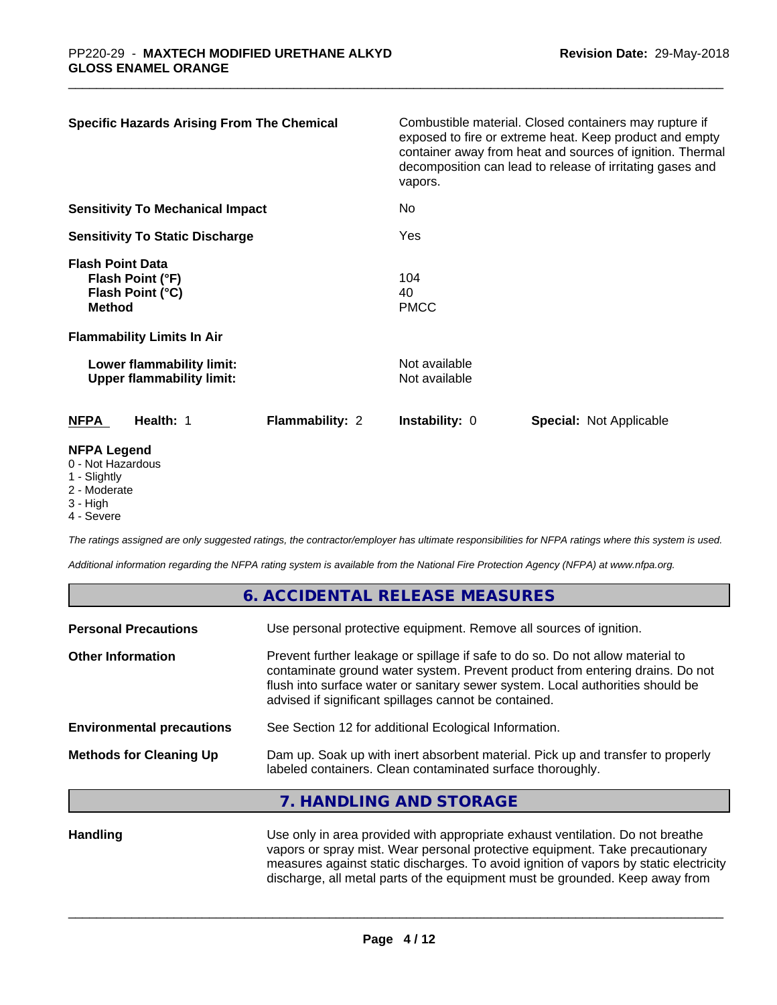| <b>Specific Hazards Arising From The Chemical</b>                                                                     | vapors.                        | Combustible material. Closed containers may rupture if<br>exposed to fire or extreme heat. Keep product and empty<br>container away from heat and sources of ignition. Thermal<br>decomposition can lead to release of irritating gases and |  |
|-----------------------------------------------------------------------------------------------------------------------|--------------------------------|---------------------------------------------------------------------------------------------------------------------------------------------------------------------------------------------------------------------------------------------|--|
| <b>Sensitivity To Mechanical Impact</b>                                                                               | No                             |                                                                                                                                                                                                                                             |  |
| <b>Sensitivity To Static Discharge</b>                                                                                | Yes                            |                                                                                                                                                                                                                                             |  |
| <b>Flash Point Data</b><br>Flash Point (°F)<br>Flash Point (°C)<br><b>Method</b><br><b>Flammability Limits In Air</b> | 104<br>40<br><b>PMCC</b>       |                                                                                                                                                                                                                                             |  |
| Lower flammability limit:<br><b>Upper flammability limit:</b>                                                         | Not available<br>Not available |                                                                                                                                                                                                                                             |  |
| <b>NFPA</b><br>Health: 1<br><b>Flammability: 2</b>                                                                    | <b>Instability: 0</b>          | <b>Special: Not Applicable</b>                                                                                                                                                                                                              |  |
| <b>NFPA Legend</b><br>0 - Not Hazardous<br>1 - Slightly                                                               |                                |                                                                                                                                                                                                                                             |  |

- 
- 2 Moderate
- 3 High
- 4 Severe

*The ratings assigned are only suggested ratings, the contractor/employer has ultimate responsibilities for NFPA ratings where this system is used.*

*Additional information regarding the NFPA rating system is available from the National Fire Protection Agency (NFPA) at www.nfpa.org.*

#### **6. ACCIDENTAL RELEASE MEASURES**

| <b>Personal Precautions</b>      | Use personal protective equipment. Remove all sources of ignition.                                                                                                                                                                                                                                         |
|----------------------------------|------------------------------------------------------------------------------------------------------------------------------------------------------------------------------------------------------------------------------------------------------------------------------------------------------------|
| <b>Other Information</b>         | Prevent further leakage or spillage if safe to do so. Do not allow material to<br>contaminate ground water system. Prevent product from entering drains. Do not<br>flush into surface water or sanitary sewer system. Local authorities should be<br>advised if significant spillages cannot be contained. |
| <b>Environmental precautions</b> | See Section 12 for additional Ecological Information.                                                                                                                                                                                                                                                      |
| <b>Methods for Cleaning Up</b>   | Dam up. Soak up with inert absorbent material. Pick up and transfer to properly<br>labeled containers. Clean contaminated surface thoroughly.                                                                                                                                                              |
|                                  | <b>TIANDLING AND CTODACE</b>                                                                                                                                                                                                                                                                               |

## **7. HANDLING AND STORAGE**

**Handling** Use only in area provided with appropriate exhaust ventilation. Do not breathe vapors or spray mist. Wear personal protective equipment. Take precautionary measures against static discharges. To avoid ignition of vapors by static electricity discharge, all metal parts of the equipment must be grounded. Keep away from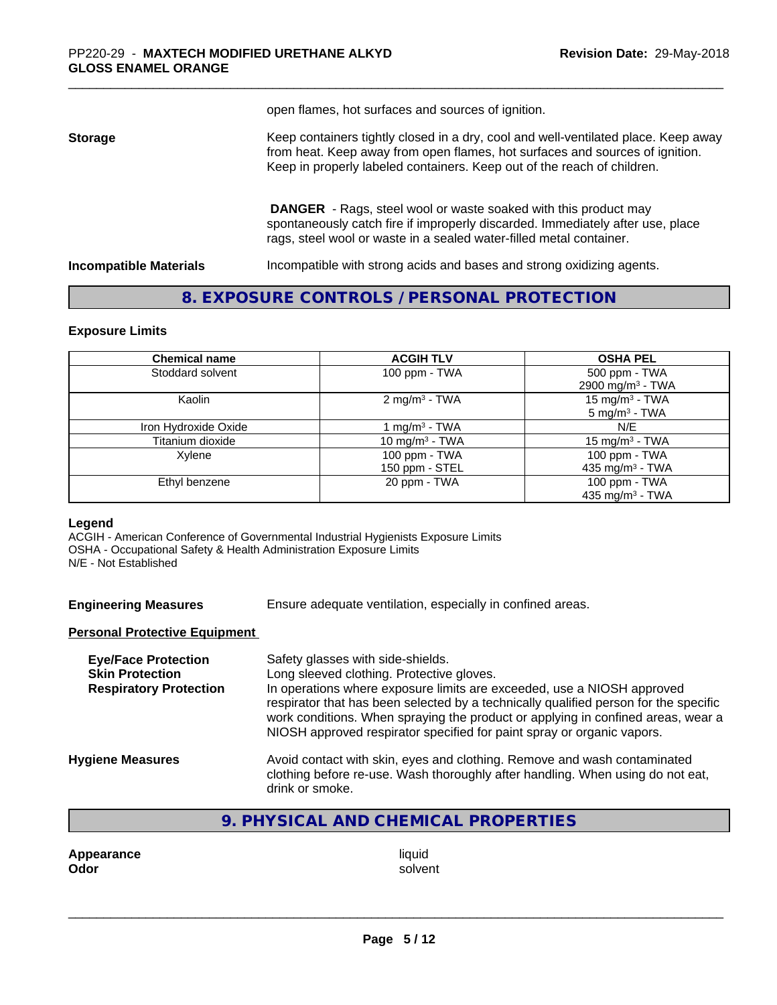open flames, hot surfaces and sources of ignition.

**Storage** Keep containers tightly closed in a dry, cool and well-ventilated place. Keep away from heat. Keep away from open flames, hot surfaces and sources of ignition. Keep in properly labeled containers. Keep out of the reach of children.

> **DANGER** - Rags, steel wool or waste soaked with this product may spontaneously catch fire if improperly discarded. Immediately after use, place rags, steel wool or waste in a sealed water-filled metal container.

**Incompatible Materials Incompatible with strong acids and bases and strong oxidizing agents.** 

## **8. EXPOSURE CONTROLS / PERSONAL PROTECTION**

#### **Exposure Limits**

| <b>Chemical name</b> | <b>ACGIH TLV</b>          | <b>OSHA PEL</b>              |
|----------------------|---------------------------|------------------------------|
| Stoddard solvent     | 100 ppm - TWA             | 500 ppm - TWA                |
|                      |                           | 2900 mg/m <sup>3</sup> - TWA |
| Kaolin               | 2 mg/m <sup>3</sup> - TWA | 15 mg/m <sup>3</sup> - TWA   |
|                      |                           | $5 \text{ mg/m}^3$ - TWA     |
| Iron Hydroxide Oxide | 1 mg/m <sup>3</sup> - TWA | N/F                          |
| Titanium dioxide     | 10 mg/m $3$ - TWA         | 15 mg/m <sup>3</sup> - TWA   |
| Xylene               | 100 ppm - TWA             | 100 ppm - TWA                |
|                      | 150 ppm - STEL            | 435 mg/m $3$ - TWA           |
| Ethyl benzene        | 20 ppm - TWA              | 100 ppm - TWA                |
|                      |                           | 435 mg/m <sup>3</sup> - TWA  |

#### **Legend**

ACGIH - American Conference of Governmental Industrial Hygienists Exposure Limits OSHA - Occupational Safety & Health Administration Exposure Limits N/E - Not Established

| <b>Engineering Measures</b> | Ensure adequate ventilation, especially in confined areas. |  |
|-----------------------------|------------------------------------------------------------|--|
|-----------------------------|------------------------------------------------------------|--|

#### **Personal Protective Equipment**

| Safety glasses with side-shields.<br>Long sleeved clothing. Protective gloves.<br>In operations where exposure limits are exceeded, use a NIOSH approved<br>respirator that has been selected by a technically qualified person for the specific<br>work conditions. When spraying the product or applying in confined areas, wear a<br>NIOSH approved respirator specified for paint spray or organic vapors. |
|----------------------------------------------------------------------------------------------------------------------------------------------------------------------------------------------------------------------------------------------------------------------------------------------------------------------------------------------------------------------------------------------------------------|
| Avoid contact with skin, eyes and clothing. Remove and wash contaminated<br>clothing before re-use. Wash thoroughly after handling. When using do not eat,<br>drink or smoke.                                                                                                                                                                                                                                  |
|                                                                                                                                                                                                                                                                                                                                                                                                                |

## **9. PHYSICAL AND CHEMICAL PROPERTIES**

**Appearance** liquid **Odor** liquid **Odor Odor** solvent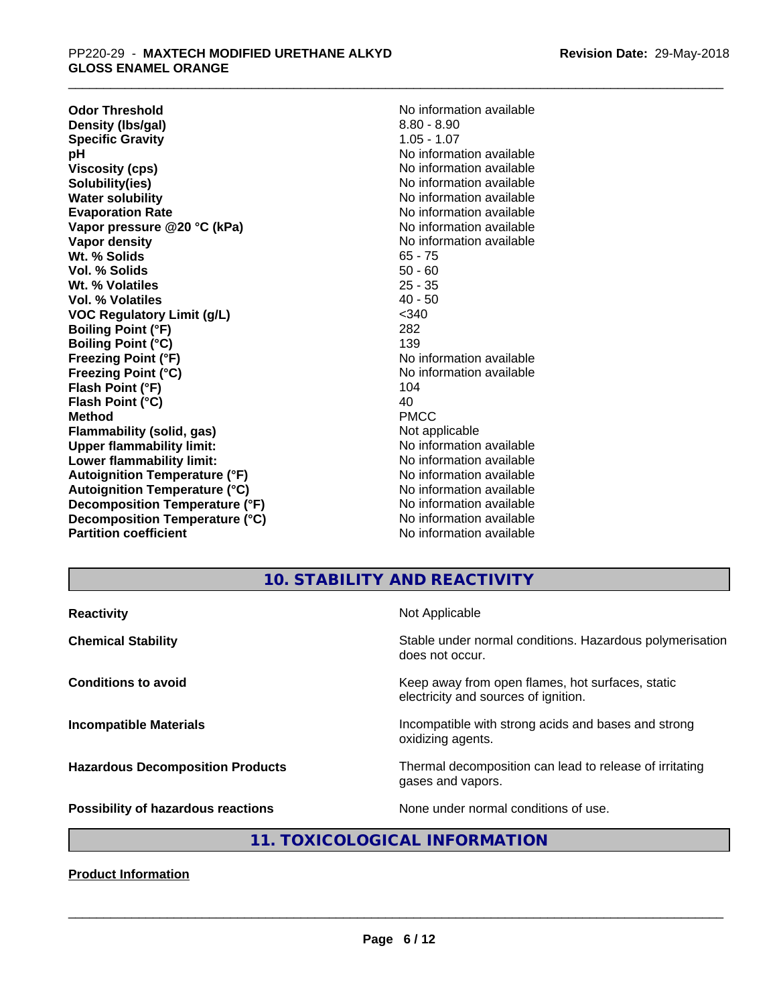**Odor Threshold**<br> **Density (Ibs/gal)**<br> **Density (Ibs/gal)**<br> **No information available**<br>  $8.80 - 8.90$ **Density (lbs/gal)** 8.80 - 8.90<br> **Specific Gravity** 8.80 - 8.90<br>
1.05 - 1.07 **Specific Gravity**<br>pH **Viscosity (cps)** No information available **Solubility(ies)** No information available **Water solubility** No information available **Evaporation Rate No information available No information available Vapor pressure @20 °C (kPa)** No information available **Vapor density No information available No information available Wt. % Solids** 65 - 75 **Vol. % Solids** 50 - 60 **Wt. % Volatiles** 25 - 35<br> **Vol. % Volatiles** 25 - 35 **Vol. % Volatiles VOC Regulatory Limit (g/L)** <340 **Boiling Point (°F)** 282 **Boiling Point (°C)** 139 **Freezing Point (°F)** The Company of the Magnetic Monometric Available **Freezing Point (°C)** No information available **Flash Point (°F)** 104 **Flash Point (°C)** 40 **Method** PMCC **Flammability (solid, gas)** Not applicable **Upper flammability limit:**<br> **Lower flammability limit:** No information available **Lower flammability limit:**<br> **Autoignition Temperature (°F)** No information available<br>
No information available **Autoignition Temperature (°F) Autoignition Temperature (°C)** No information available **Decomposition Temperature (°F)** No information available **Decomposition Temperature (°C)** No information available **Partition coefficient** and the settlement of the Non-Information available

**No information available** 

## **10. STABILITY AND REACTIVITY**

| Stable under normal conditions. Hazardous polymerisation<br>does not occur.<br>Keep away from open flames, hot surfaces, static<br>electricity and sources of ignition.<br>Incompatible with strong acids and bases and strong<br>oxidizing agents.<br>Thermal decomposition can lead to release of irritating<br>gases and vapors. | <b>Reactivity</b>                       | Not Applicable                       |
|-------------------------------------------------------------------------------------------------------------------------------------------------------------------------------------------------------------------------------------------------------------------------------------------------------------------------------------|-----------------------------------------|--------------------------------------|
|                                                                                                                                                                                                                                                                                                                                     | <b>Chemical Stability</b>               |                                      |
|                                                                                                                                                                                                                                                                                                                                     | <b>Conditions to avoid</b>              |                                      |
|                                                                                                                                                                                                                                                                                                                                     | <b>Incompatible Materials</b>           |                                      |
|                                                                                                                                                                                                                                                                                                                                     | <b>Hazardous Decomposition Products</b> |                                      |
|                                                                                                                                                                                                                                                                                                                                     | Possibility of hazardous reactions      | None under normal conditions of use. |

## **11. TOXICOLOGICAL INFORMATION**

**Product Information**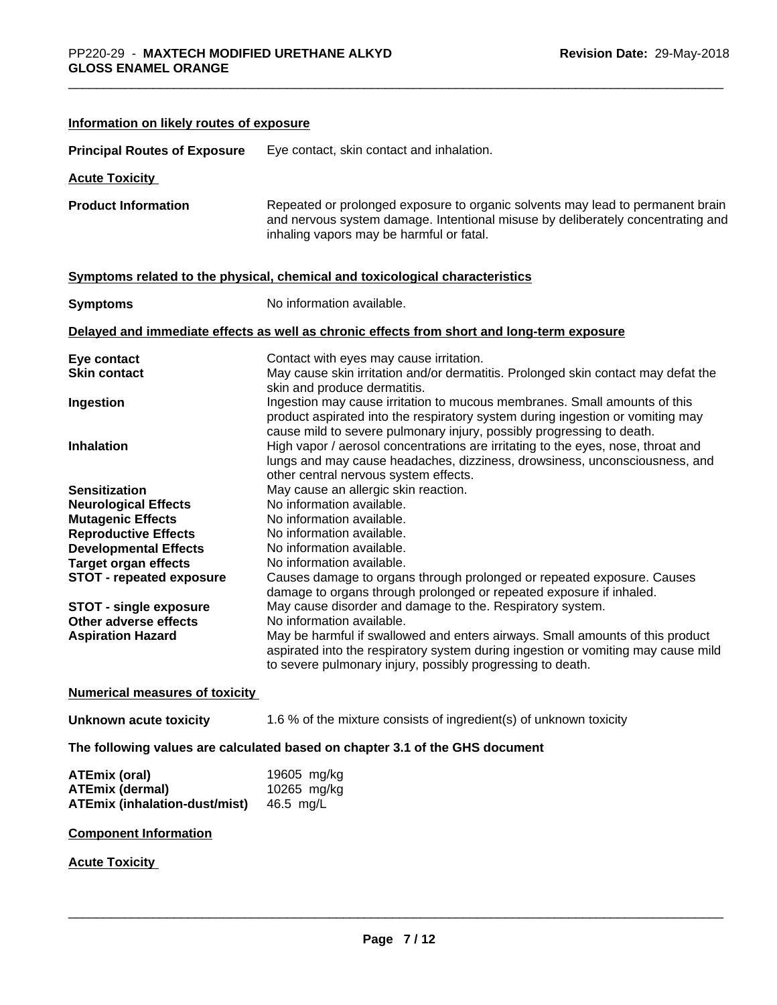| Information on likely routes of exposure                                               |                                                                                                                                                                                                                                                                      |
|----------------------------------------------------------------------------------------|----------------------------------------------------------------------------------------------------------------------------------------------------------------------------------------------------------------------------------------------------------------------|
| <b>Principal Routes of Exposure</b>                                                    | Eye contact, skin contact and inhalation.                                                                                                                                                                                                                            |
| <b>Acute Toxicity</b>                                                                  |                                                                                                                                                                                                                                                                      |
| <b>Product Information</b>                                                             | Repeated or prolonged exposure to organic solvents may lead to permanent brain<br>and nervous system damage. Intentional misuse by deliberately concentrating and<br>inhaling vapors may be harmful or fatal.                                                        |
|                                                                                        | Symptoms related to the physical, chemical and toxicological characteristics                                                                                                                                                                                         |
| <b>Symptoms</b>                                                                        | No information available.                                                                                                                                                                                                                                            |
|                                                                                        | Delayed and immediate effects as well as chronic effects from short and long-term exposure                                                                                                                                                                           |
| Eye contact                                                                            | Contact with eyes may cause irritation.                                                                                                                                                                                                                              |
| <b>Skin contact</b>                                                                    | May cause skin irritation and/or dermatitis. Prolonged skin contact may defat the                                                                                                                                                                                    |
| Ingestion                                                                              | skin and produce dermatitis.<br>Ingestion may cause irritation to mucous membranes. Small amounts of this<br>product aspirated into the respiratory system during ingestion or vomiting may<br>cause mild to severe pulmonary injury, possibly progressing to death. |
| <b>Inhalation</b>                                                                      | High vapor / aerosol concentrations are irritating to the eyes, nose, throat and<br>lungs and may cause headaches, dizziness, drowsiness, unconsciousness, and<br>other central nervous system effects.                                                              |
| <b>Sensitization</b>                                                                   | May cause an allergic skin reaction.                                                                                                                                                                                                                                 |
| <b>Neurological Effects</b>                                                            | No information available.                                                                                                                                                                                                                                            |
| <b>Mutagenic Effects</b>                                                               | No information available.                                                                                                                                                                                                                                            |
| <b>Reproductive Effects</b>                                                            | No information available.                                                                                                                                                                                                                                            |
| <b>Developmental Effects</b>                                                           | No information available.                                                                                                                                                                                                                                            |
| <b>Target organ effects</b>                                                            | No information available.                                                                                                                                                                                                                                            |
| <b>STOT - repeated exposure</b>                                                        | Causes damage to organs through prolonged or repeated exposure. Causes<br>damage to organs through prolonged or repeated exposure if inhaled.                                                                                                                        |
| <b>STOT - single exposure</b>                                                          | May cause disorder and damage to the. Respiratory system.                                                                                                                                                                                                            |
| Other adverse effects                                                                  | No information available.                                                                                                                                                                                                                                            |
| <b>Aspiration Hazard</b>                                                               | May be harmful if swallowed and enters airways. Small amounts of this product                                                                                                                                                                                        |
|                                                                                        | aspirated into the respiratory system during ingestion or vomiting may cause mild<br>to severe pulmonary injury, possibly progressing to death.                                                                                                                      |
| <b>Numerical measures of toxicity</b>                                                  |                                                                                                                                                                                                                                                                      |
| Unknown acute toxicity                                                                 | 1.6 % of the mixture consists of ingredient(s) of unknown toxicity                                                                                                                                                                                                   |
|                                                                                        | The following values are calculated based on chapter 3.1 of the GHS document                                                                                                                                                                                         |
| <b>ATEmix (oral)</b><br><b>ATEmix (dermal)</b><br><b>ATEmix (inhalation-dust/mist)</b> | 19605 mg/kg<br>10265 mg/kg<br>46.5 mg/L                                                                                                                                                                                                                              |
| <b>Component Information</b>                                                           |                                                                                                                                                                                                                                                                      |
| <b>Acute Toxicity</b>                                                                  |                                                                                                                                                                                                                                                                      |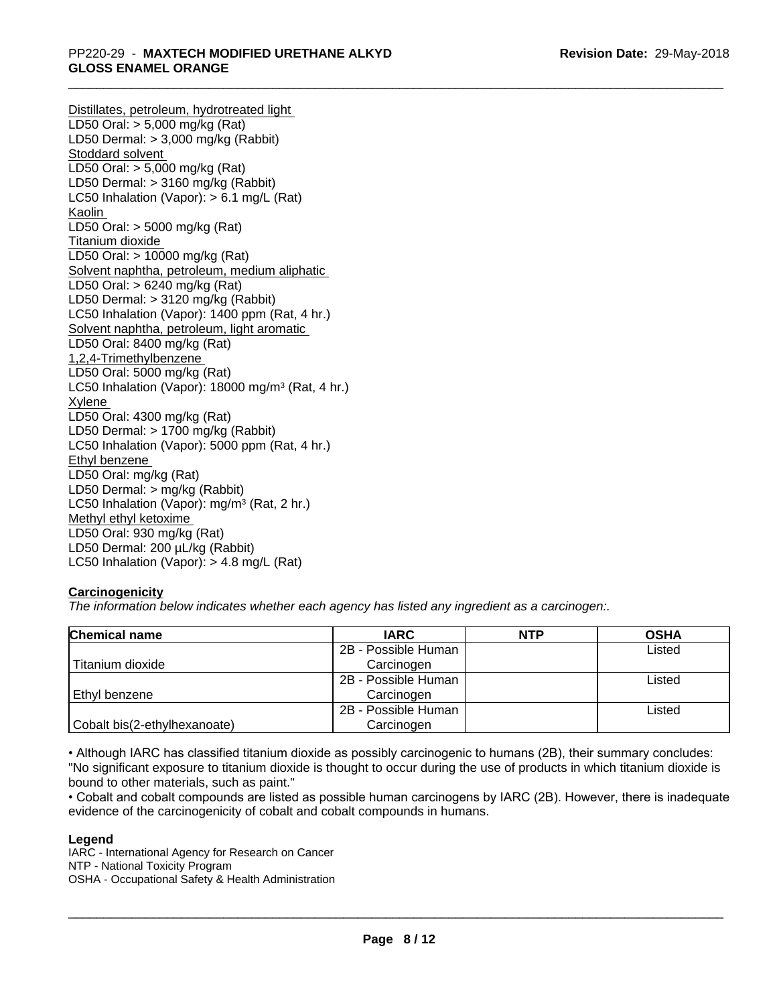Distillates, petroleum, hydrotreated light LD50 Oral: > 5,000 mg/kg (Rat) LD50 Dermal: > 3,000 mg/kg (Rabbit) Stoddard solvent LD50 Oral: > 5,000 mg/kg (Rat) LD50 Dermal: > 3160 mg/kg (Rabbit) LC50 Inhalation (Vapor): > 6.1 mg/L (Rat) Kaolin LD50 Oral: > 5000 mg/kg (Rat) Titanium dioxide LD50 Oral: > 10000 mg/kg (Rat) Solvent naphtha, petroleum, medium aliphatic LD50 Oral: > 6240 mg/kg (Rat) LD50 Dermal: > 3120 mg/kg (Rabbit) LC50 Inhalation (Vapor): 1400 ppm (Rat, 4 hr.) Solvent naphtha, petroleum, light aromatic LD50 Oral: 8400 mg/kg (Rat) 1,2,4-Trimethylbenzene LD50 Oral: 5000 mg/kg (Rat) LC50 Inhalation (Vapor): 18000 mg/m<sup>3</sup> (Rat, 4 hr.) Xylene LD50 Oral: 4300 mg/kg (Rat) LD50 Dermal: > 1700 mg/kg (Rabbit) LC50 Inhalation (Vapor): 5000 ppm (Rat, 4 hr.) Ethyl benzene LD50 Oral: mg/kg (Rat) LD50 Dermal: > mg/kg (Rabbit) LC50 Inhalation (Vapor): mg/m<sup>3</sup> (Rat, 2 hr.) Methyl ethyl ketoxime LD50 Oral: 930 mg/kg (Rat) LD50 Dermal: 200 µL/kg (Rabbit) LC50 Inhalation (Vapor): > 4.8 mg/L (Rat)

## **Carcinogenicity**

*The information below indicateswhether each agency has listed any ingredient as a carcinogen:.*

| Chemical name                | <b>IARC</b>         | <b>NTP</b> | <b>OSHA</b> |
|------------------------------|---------------------|------------|-------------|
|                              | 2B - Possible Human |            | Listed      |
| Titanium dioxide             | Carcinogen          |            |             |
|                              | 2B - Possible Human |            | Listed      |
| Ethyl benzene                | Carcinogen          |            |             |
|                              | 2B - Possible Human |            | Listed      |
| Cobalt bis(2-ethylhexanoate) | Carcinogen          |            |             |

• Although IARC has classified titanium dioxide as possibly carcinogenic to humans (2B), their summary concludes: "No significant exposure to titanium dioxide is thought to occur during the use of products in which titanium dioxide is bound to other materials, such as paint."

• Cobalt and cobalt compounds are listed as possible human carcinogens by IARC (2B). However, there is inadequate evidence of the carcinogenicity of cobalt and cobalt compounds in humans.

#### **Legend**

IARC - International Agency for Research on Cancer NTP - National Toxicity Program OSHA - Occupational Safety & Health Administration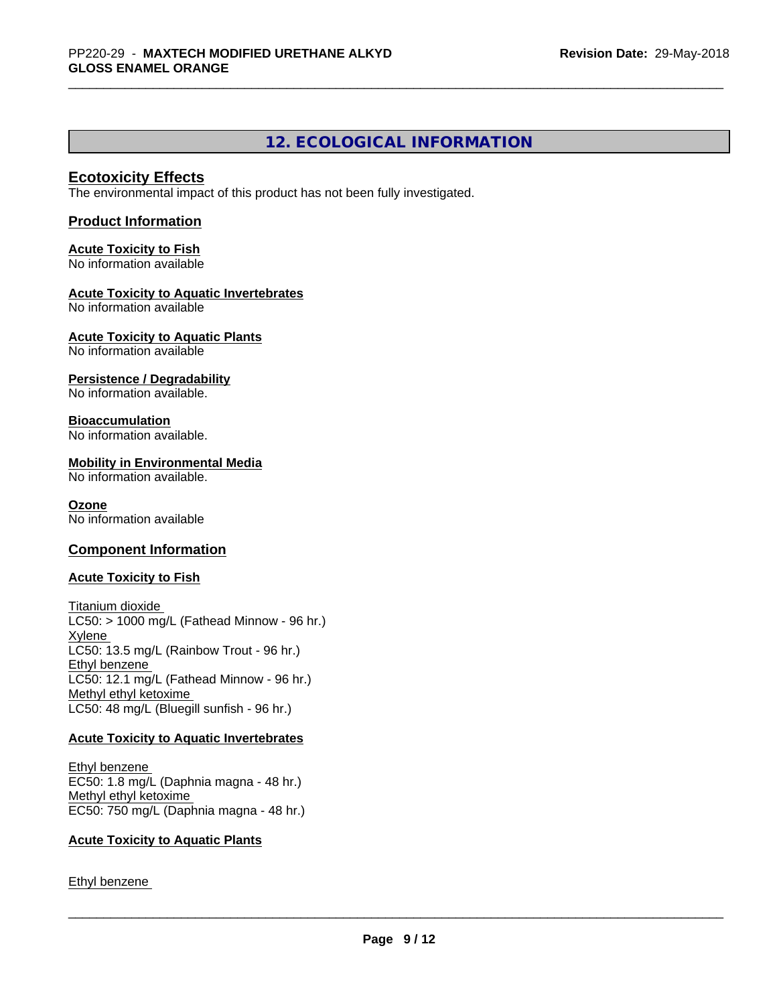## **12. ECOLOGICAL INFORMATION**

## **Ecotoxicity Effects**

The environmental impact of this product has not been fully investigated.

#### **Product Information**

## **Acute Toxicity to Fish**

No information available

## **Acute Toxicity to Aquatic Invertebrates**

No information available

## **Acute Toxicity to Aquatic Plants**

No information available

#### **Persistence / Degradability**

No information available.

## **Bioaccumulation**

No information available.

#### **Mobility in Environmental Media**

No information available.

#### **Ozone**

No information available

## **Component Information**

#### **Acute Toxicity to Fish**

Titanium dioxide  $LC50:$  > 1000 mg/L (Fathead Minnow - 96 hr.) Xylene LC50: 13.5 mg/L (Rainbow Trout - 96 hr.) Ethyl benzene LC50: 12.1 mg/L (Fathead Minnow - 96 hr.) Methyl ethyl ketoxime LC50: 48 mg/L (Bluegill sunfish - 96 hr.)

#### **Acute Toxicity to Aquatic Invertebrates**

Ethyl benzene EC50: 1.8 mg/L (Daphnia magna - 48 hr.) Methyl ethyl ketoxime EC50: 750 mg/L (Daphnia magna - 48 hr.)

#### **Acute Toxicity to Aquatic Plants**

Ethyl benzene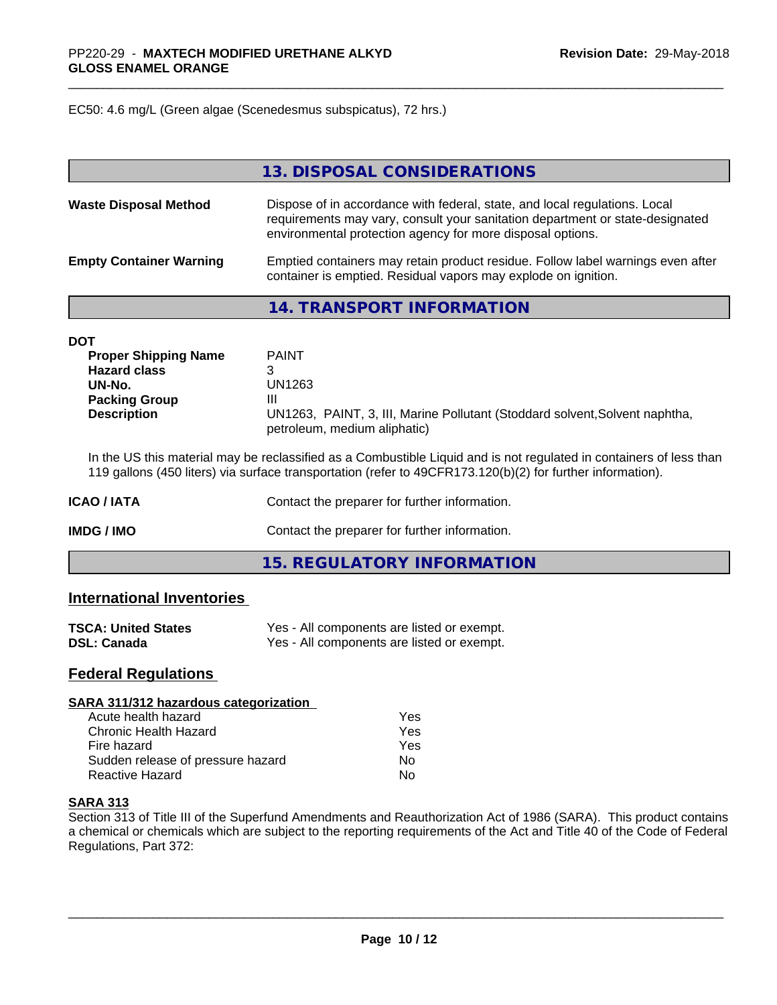EC50: 4.6 mg/L (Green algae (Scenedesmus subspicatus), 72 hrs.)

|                                | 13. DISPOSAL CONSIDERATIONS                                                                                                                                                                                               |
|--------------------------------|---------------------------------------------------------------------------------------------------------------------------------------------------------------------------------------------------------------------------|
| <b>Waste Disposal Method</b>   | Dispose of in accordance with federal, state, and local regulations. Local<br>requirements may vary, consult your sanitation department or state-designated<br>environmental protection agency for more disposal options. |
| <b>Empty Container Warning</b> | Emptied containers may retain product residue. Follow label warnings even after<br>container is emptied. Residual vapors may explode on ignition.                                                                         |

**14. TRANSPORT INFORMATION**

| DOT                         |                                                                                                             |
|-----------------------------|-------------------------------------------------------------------------------------------------------------|
| <b>Proper Shipping Name</b> | <b>PAINT</b>                                                                                                |
| <b>Hazard class</b>         |                                                                                                             |
| UN-No.                      | UN1263                                                                                                      |
| <b>Packing Group</b>        | Ш                                                                                                           |
| <b>Description</b>          | UN1263, PAINT, 3, III, Marine Pollutant (Stoddard solvent, Solvent naphtha,<br>petroleum, medium aliphatic) |

In the US this material may be reclassified as a Combustible Liquid and is not regulated in containers of less than 119 gallons (450 liters) via surface transportation (refer to 49CFR173.120(b)(2) for further information).

| <b>ICAO/IATA</b> | Contact the preparer for further information. |
|------------------|-----------------------------------------------|
| IMDG / IMO       | Contact the preparer for further information. |
|                  | 15. REGULATORY INFORMATION                    |

## **International Inventories**

| <b>TSCA: United States</b> | Yes - All components are listed or exempt. |
|----------------------------|--------------------------------------------|
| <b>DSL: Canada</b>         | Yes - All components are listed or exempt. |

## **Federal Regulations**

| SARA 311/312 hazardous categorization |     |  |
|---------------------------------------|-----|--|
| Acute health hazard                   | Yes |  |
| <b>Chronic Health Hazard</b>          | Yes |  |
| Fire hazard                           | Yes |  |
| Sudden release of pressure hazard     | No  |  |
| Reactive Hazard                       | No  |  |

#### **SARA 313**

Section 313 of Title III of the Superfund Amendments and Reauthorization Act of 1986 (SARA). This product contains a chemical or chemicals which are subject to the reporting requirements of the Act and Title 40 of the Code of Federal Regulations, Part 372: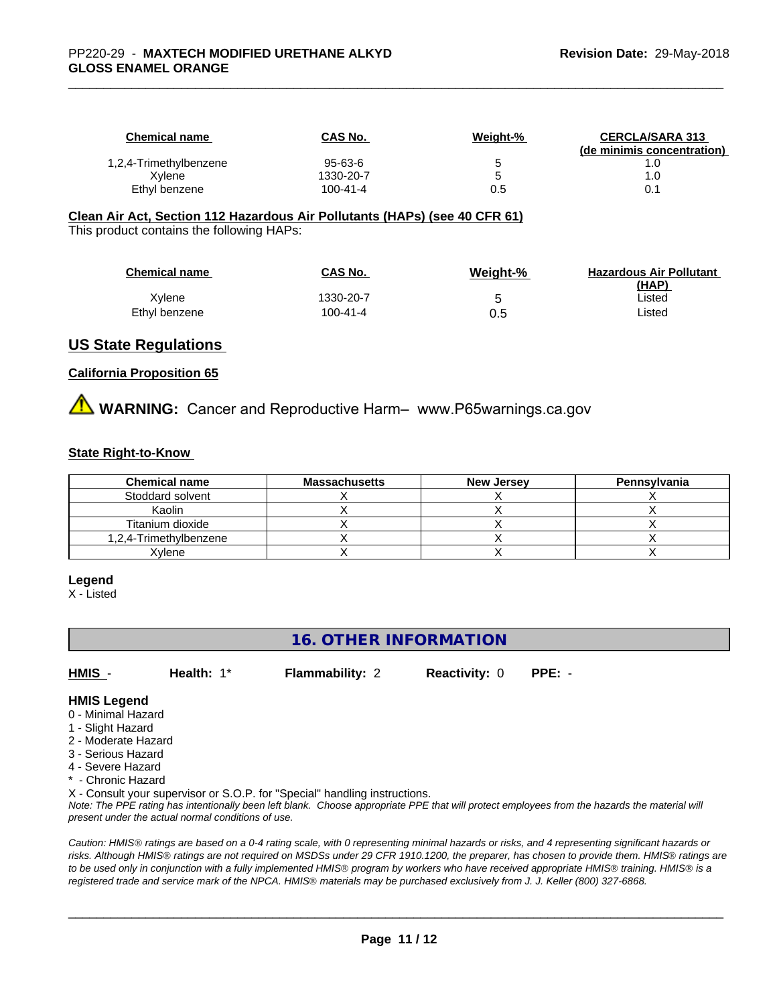| Chemical name          | <b>CAS No.</b> | Weight-% | <b>CERCLA/SARA 313</b>     |
|------------------------|----------------|----------|----------------------------|
|                        |                |          | (de minimis concentration) |
| 1,2,4-Trimethylbenzene | 95-63-6        |          |                            |
| Xvlene                 | 1330-20-7      |          |                            |
| Ethyl benzene          | 100-41-4       | 0.5      |                            |

#### **Clean Air Act,Section 112 Hazardous Air Pollutants (HAPs) (see 40 CFR 61)**

This product contains the following HAPs:

| <b>Chemical name</b> | <b>CAS No.</b> | Weight-% | <b>Hazardous Air Pollutant</b><br>(HAP) |
|----------------------|----------------|----------|-----------------------------------------|
| Xvlene               | 1330-20-7      |          | ∟isted                                  |
| Ethyl benzene        | $100 - 41 - 4$ | 0.5      | ∟isted                                  |

## **US State Regulations**

#### **California Proposition 65**

**A** WARNING: Cancer and Reproductive Harm– www.P65warnings.ca.gov

#### **State Right-to-Know**

| <b>Chemical name</b>   | <b>Massachusetts</b> | <b>New Jersey</b> | Pennsylvania |
|------------------------|----------------------|-------------------|--------------|
| Stoddard solvent       |                      |                   |              |
| Kaolin                 |                      |                   |              |
| Titanium dioxide       |                      |                   |              |
| 1,2,4-Trimethylbenzene |                      |                   |              |
| Xvlene                 |                      |                   |              |

#### **Legend**

X - Listed

## **16. OTHER INFORMATION**

**HMIS** - **Health:** 1\* **Flammability:** 2 **Reactivity:** 0 **PPE:** -

**HMIS Legend**

- 0 Minimal Hazard
- 1 Slight Hazard
- 2 Moderate Hazard
- 3 Serious Hazard
- 4 Severe Hazard
- \* Chronic Hazard

X - Consult your supervisor or S.O.P. for "Special" handling instructions.

*Note: The PPE rating has intentionally been left blank. Choose appropriate PPE that will protect employees from the hazards the material will present under the actual normal conditions of use.*

*Caution: HMISÒ ratings are based on a 0-4 rating scale, with 0 representing minimal hazards or risks, and 4 representing significant hazards or risks. Although HMISÒ ratings are not required on MSDSs under 29 CFR 1910.1200, the preparer, has chosen to provide them. HMISÒ ratings are to be used only in conjunction with a fully implemented HMISÒ program by workers who have received appropriate HMISÒ training. HMISÒ is a registered trade and service mark of the NPCA. HMISÒ materials may be purchased exclusively from J. J. Keller (800) 327-6868.*